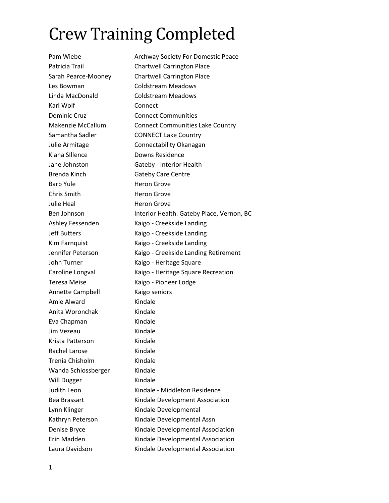## Crew Training Completed

Pam Wiebe **Archway Society For Domestic Peace** Patricia Trail **Chartwell Carrington Place** Sarah Pearce-Mooney Chartwell Carrington Place Les Bowman Coldstream Meadows Linda MacDonald Coldstream Meadows Karl Wolf **Connect** Dominic Cruz **Connect Communities** Makenzie McCallum Connect Communities Lake Country Samantha Sadler **CONNECT Lake Country** Julie Armitage Connectability Okanagan Kiana Sillence **Downs Residence** Jane Johnston Gateby - Interior Health Brenda Kinch Gateby Care Centre Barb Yule **Heron** Grove Chris Smith Heron Grove Julie Heal **Heron** Grove Ben Johnson Interior Health. Gateby Place, Vernon, BC Ashley Fessenden Kaigo - Creekside Landing Jeff Butters Kaigo - Creekside Landing Kim Farnquist Kaigo - Creekside Landing Jennifer Peterson Kaigo - Creekside Landing Retirement John Turner Kaigo - Heritage Square Caroline Longval **Kaigo - Heritage Square Recreation** Teresa Meise **Kaigo - Pioneer Lodge** Annette Campbell Kaigo seniors Amie Alward Kindale Anita Woronchak Kindale Eva Chapman Kindale Jim Vezeau Kindale Krista Patterson Kindale Rachel Larose Kindale Trenia Chisholm KIndale Wanda Schlossberger Kindale Will Dugger Kindale Judith Leon Kindale - Middleton Residence Bea Brassart Kindale Development Association Lynn Klinger Kindale Developmental Kathryn Peterson Kindale Developmental Assn Denise Bryce Kindale Developmental Association Erin Madden Kindale Developmental Association Laura Davidson Kindale Developmental Association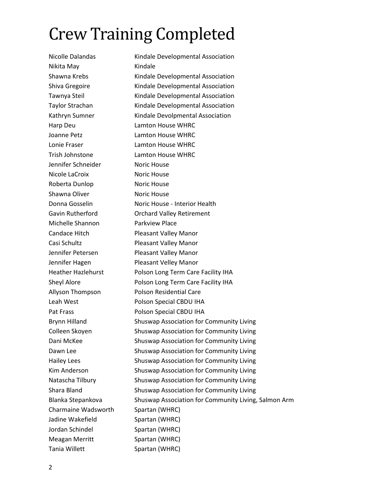## Crew Training Completed

Nicolle Dalandas Kindale Developmental Association Nikita May **Kindale** Shawna Krebs Kindale Developmental Association Shiva Gregoire **Kindale Developmental Association** Tawnya Steil Kindale Developmental Association Taylor Strachan Kindale Developmental Association Kathryn Sumner Kindale Devolpmental Association Harp Deu Lamton House WHRC Joanne Petz Lamton House WHRC Lonie Fraser Lamton House WHRC Trish Johnstone Lamton House WHRC Jennifer Schneider Noric House Nicole LaCroix Noric House Roberta Dunlop Noric House Shawna Oliver **Noric House** Donna Gosselin Noric House - Interior Health Gavin Rutherford Orchard Valley Retirement Michelle Shannon Parkview Place Candace Hitch Pleasant Valley Manor Casi Schultz Pleasant Valley Manor Jennifer Petersen Pleasant Valley Manor Jennifer Hagen Pleasant Velley Manor Heather Hazlehurst Polson Long Term Care Facility IHA Sheyl Alore **Polson Long Term Care Facility IHA** Allyson Thompson Polson Residential Care Leah West **Polson Special CBDU IHA** Pat Frass Polson Special CBDU IHA Brynn Hilland Shuswap Association for Community Living Colleen Skoyen Shuswap Association for Community Living Dani McKee Shuswap Association for Community Living Dawn Lee Shuswap Association for Community Living Hailey Lees Shuswap Association for Community Living Kim Anderson Shuswap Association for Community Living Natascha Tilbury Shuswap Association for Community Living Shara Bland Shuswap Association for Community Living Blanka Stepankova Shuswap Association for Community Living, Salmon Arm Charmaine Wadsworth Spartan (WHRC) Jadine Wakefield Spartan (WHRC) Jordan Schindel Spartan (WHRC) Meagan Merritt Spartan (WHRC) Tania Willett Spartan (WHRC)